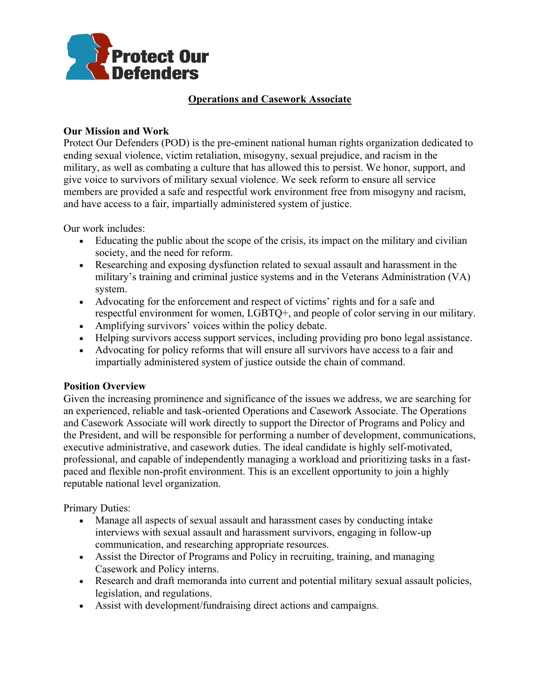

## **Operations and Casework Associate**

## **Our Mission and Work**

Protect Our Defenders (POD) is the pre-eminent national human rights organization dedicated to ending sexual violence, victim retaliation, misogyny, sexual prejudice, and racism in the military, as well as combating a culture that has allowed this to persist. We honor, support, and give voice to survivors of military sexual violence. We seek reform to ensure all service members are provided a safe and respectful work environment free from misogyny and racism, and have access to a fair, impartially administered system of justice.

Our work includes:

- Educating the public about the scope of the crisis, its impact on the military and civilian society, and the need for reform.
- Researching and exposing dysfunction related to sexual assault and harassment in the military's training and criminal justice systems and in the Veterans Administration (VA) system.
- Advocating for the enforcement and respect of victims' rights and for a safe and respectful environment for women, LGBTQ+, and people of color serving in our military.
- Amplifying survivors' voices within the policy debate.
- Helping survivors access support services, including providing pro bono legal assistance.
- Advocating for policy reforms that will ensure all survivors have access to a fair and impartially administered system of justice outside the chain of command.

## **Position Overview**

Given the increasing prominence and significance of the issues we address, we are searching for an experienced, reliable and task-oriented Operations and Casework Associate. The Operations and Casework Associate will work directly to support the Director of Programs and Policy and the President, and will be responsible for performing a number of development, communications, executive administrative, and casework duties. The ideal candidate is highly self-motivated, professional, and capable of independently managing a workload and prioritizing tasks in a fastpaced and flexible non-profit environment. This is an excellent opportunity to join a highly reputable national level organization.

Primary Duties:

- Manage all aspects of sexual assault and harassment cases by conducting intake interviews with sexual assault and harassment survivors, engaging in follow-up communication, and researching appropriate resources.
- Assist the Director of Programs and Policy in recruiting, training, and managing Casework and Policy interns.
- Research and draft memoranda into current and potential military sexual assault policies, legislation, and regulations.
- Assist with development/fundraising direct actions and campaigns.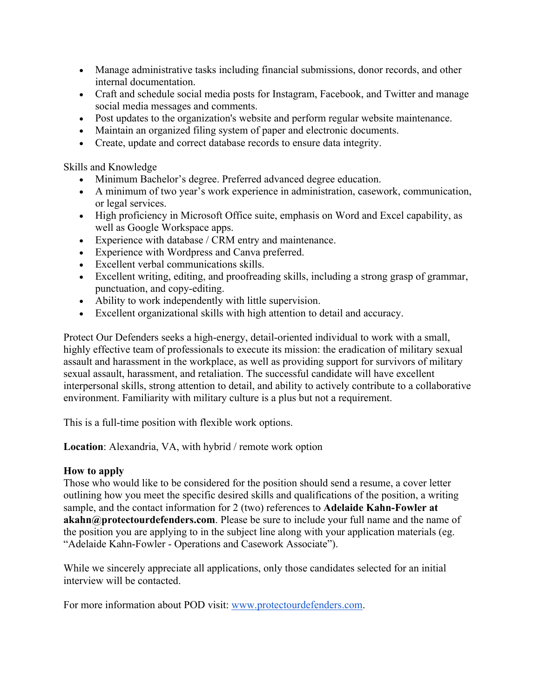- Manage administrative tasks including financial submissions, donor records, and other internal documentation.
- Craft and schedule social media posts for Instagram, Facebook, and Twitter and manage social media messages and comments.
- Post updates to the organization's website and perform regular website maintenance.
- Maintain an organized filing system of paper and electronic documents.
- Create, update and correct database records to ensure data integrity.

Skills and Knowledge

- Minimum Bachelor's degree. Preferred advanced degree education.
- A minimum of two year's work experience in administration, casework, communication, or legal services.
- High proficiency in Microsoft Office suite, emphasis on Word and Excel capability, as well as Google Workspace apps.
- Experience with database / CRM entry and maintenance.
- Experience with Wordpress and Canva preferred.
- Excellent verbal communications skills.
- Excellent writing, editing, and proofreading skills, including a strong grasp of grammar, punctuation, and copy-editing.
- Ability to work independently with little supervision.
- Excellent organizational skills with high attention to detail and accuracy.

Protect Our Defenders seeks a high-energy, detail-oriented individual to work with a small, highly effective team of professionals to execute its mission: the eradication of military sexual assault and harassment in the workplace, as well as providing support for survivors of military sexual assault, harassment, and retaliation. The successful candidate will have excellent interpersonal skills, strong attention to detail, and ability to actively contribute to a collaborative environment. Familiarity with military culture is a plus but not a requirement.

This is a full-time position with flexible work options.

**Location**: Alexandria, VA, with hybrid / remote work option

## **How to apply**

Those who would like to be considered for the position should send a resume, a cover letter outlining how you meet the specific desired skills and qualifications of the position, a writing sample, and the contact information for 2 (two) references to **Adelaide Kahn-Fowler at akahn@protectourdefenders.com**. Please be sure to include your full name and the name of the position you are applying to in the subject line along with your application materials (eg. "Adelaide Kahn-Fowler - Operations and Casework Associate").

While we sincerely appreciate all applications, only those candidates selected for an initial interview will be contacted.

For more information about POD visit: www.protectourdefenders.com.